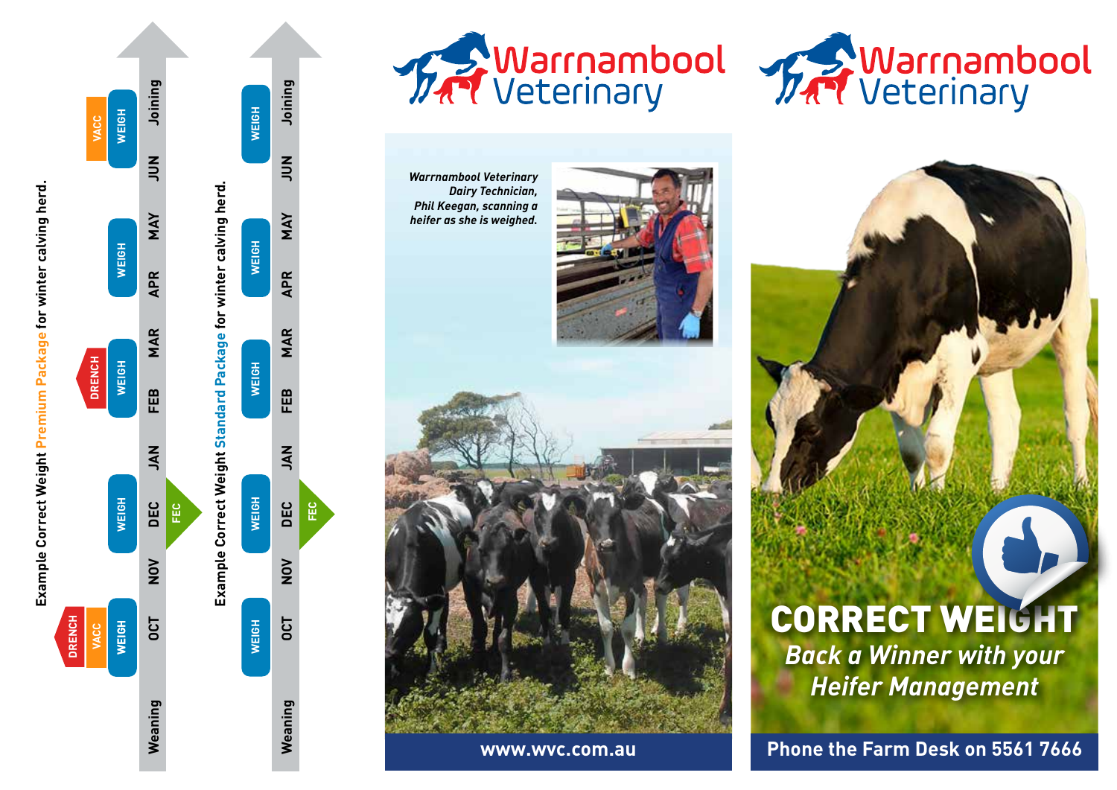

**Example Correct Weight Premium Package for winter calving herd.**

Example Correct Weight Premium Package for winter calving herd.











**www.wvc.com.au**



# CORRECT WEIGHT *Back a Winner with your Heifer Management*

**Phone the Farm Desk on 5561 7666**